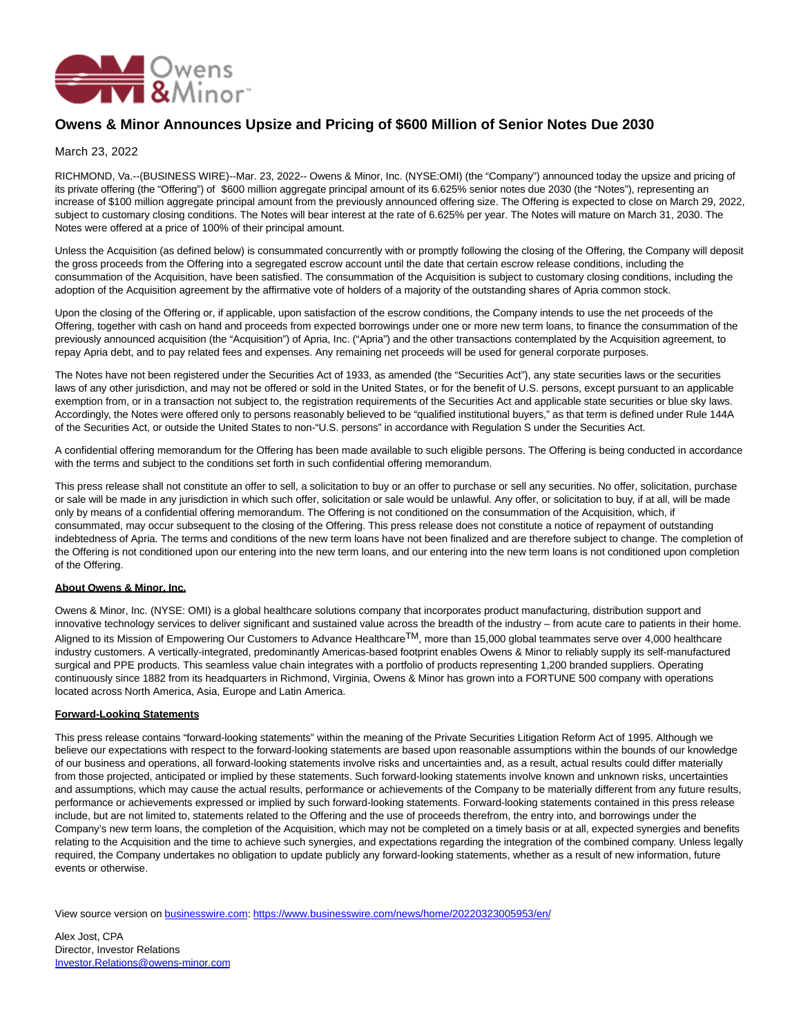

## **Owens & Minor Announces Upsize and Pricing of \$600 Million of Senior Notes Due 2030**

## March 23, 2022

RICHMOND, Va.--(BUSINESS WIRE)--Mar. 23, 2022-- Owens & Minor, Inc. (NYSE:OMI) (the "Company") announced today the upsize and pricing of its private offering (the "Offering") of \$600 million aggregate principal amount of its 6.625% senior notes due 2030 (the "Notes"), representing an increase of \$100 million aggregate principal amount from the previously announced offering size. The Offering is expected to close on March 29, 2022, subject to customary closing conditions. The Notes will bear interest at the rate of 6.625% per year. The Notes will mature on March 31, 2030. The Notes were offered at a price of 100% of their principal amount.

Unless the Acquisition (as defined below) is consummated concurrently with or promptly following the closing of the Offering, the Company will deposit the gross proceeds from the Offering into a segregated escrow account until the date that certain escrow release conditions, including the consummation of the Acquisition, have been satisfied. The consummation of the Acquisition is subject to customary closing conditions, including the adoption of the Acquisition agreement by the affirmative vote of holders of a majority of the outstanding shares of Apria common stock.

Upon the closing of the Offering or, if applicable, upon satisfaction of the escrow conditions, the Company intends to use the net proceeds of the Offering, together with cash on hand and proceeds from expected borrowings under one or more new term loans, to finance the consummation of the previously announced acquisition (the "Acquisition") of Apria, Inc. ("Apria") and the other transactions contemplated by the Acquisition agreement, to repay Apria debt, and to pay related fees and expenses. Any remaining net proceeds will be used for general corporate purposes.

The Notes have not been registered under the Securities Act of 1933, as amended (the "Securities Act"), any state securities laws or the securities laws of any other jurisdiction, and may not be offered or sold in the United States, or for the benefit of U.S. persons, except pursuant to an applicable exemption from, or in a transaction not subject to, the registration requirements of the Securities Act and applicable state securities or blue sky laws. Accordingly, the Notes were offered only to persons reasonably believed to be "qualified institutional buyers," as that term is defined under Rule 144A of the Securities Act, or outside the United States to non-"U.S. persons" in accordance with Regulation S under the Securities Act.

A confidential offering memorandum for the Offering has been made available to such eligible persons. The Offering is being conducted in accordance with the terms and subject to the conditions set forth in such confidential offering memorandum.

This press release shall not constitute an offer to sell, a solicitation to buy or an offer to purchase or sell any securities. No offer, solicitation, purchase or sale will be made in any jurisdiction in which such offer, solicitation or sale would be unlawful. Any offer, or solicitation to buy, if at all, will be made only by means of a confidential offering memorandum. The Offering is not conditioned on the consummation of the Acquisition, which, if consummated, may occur subsequent to the closing of the Offering. This press release does not constitute a notice of repayment of outstanding indebtedness of Apria. The terms and conditions of the new term loans have not been finalized and are therefore subject to change. The completion of the Offering is not conditioned upon our entering into the new term loans, and our entering into the new term loans is not conditioned upon completion of the Offering.

## **About Owens & Minor, Inc.**

Owens & Minor, Inc. (NYSE: OMI) is a global healthcare solutions company that incorporates product manufacturing, distribution support and innovative technology services to deliver significant and sustained value across the breadth of the industry – from acute care to patients in their home. Aligned to its Mission of Empowering Our Customers to Advance Healthcare<sup>TM</sup>, more than 15,000 global teammates serve over 4,000 healthcare industry customers. A vertically-integrated, predominantly Americas-based footprint enables Owens & Minor to reliably supply its self-manufactured surgical and PPE products. This seamless value chain integrates with a portfolio of products representing 1,200 branded suppliers. Operating continuously since 1882 from its headquarters in Richmond, Virginia, Owens & Minor has grown into a FORTUNE 500 company with operations located across North America, Asia, Europe and Latin America.

## **Forward-Looking Statements**

This press release contains "forward-looking statements" within the meaning of the Private Securities Litigation Reform Act of 1995. Although we believe our expectations with respect to the forward-looking statements are based upon reasonable assumptions within the bounds of our knowledge of our business and operations, all forward-looking statements involve risks and uncertainties and, as a result, actual results could differ materially from those projected, anticipated or implied by these statements. Such forward-looking statements involve known and unknown risks, uncertainties and assumptions, which may cause the actual results, performance or achievements of the Company to be materially different from any future results, performance or achievements expressed or implied by such forward-looking statements. Forward-looking statements contained in this press release include, but are not limited to, statements related to the Offering and the use of proceeds therefrom, the entry into, and borrowings under the Company's new term loans, the completion of the Acquisition, which may not be completed on a timely basis or at all, expected synergies and benefits relating to the Acquisition and the time to achieve such synergies, and expectations regarding the integration of the combined company. Unless legally required, the Company undertakes no obligation to update publicly any forward-looking statements, whether as a result of new information, future events or otherwise.

View source version on [businesswire.com:](http://businesswire.com/)<https://www.businesswire.com/news/home/20220323005953/en/>

Alex Jost, CPA Director, Investor Relations [Investor.Relations@owens-minor.com](mailto:Investor.Relations@owens-minor.com)